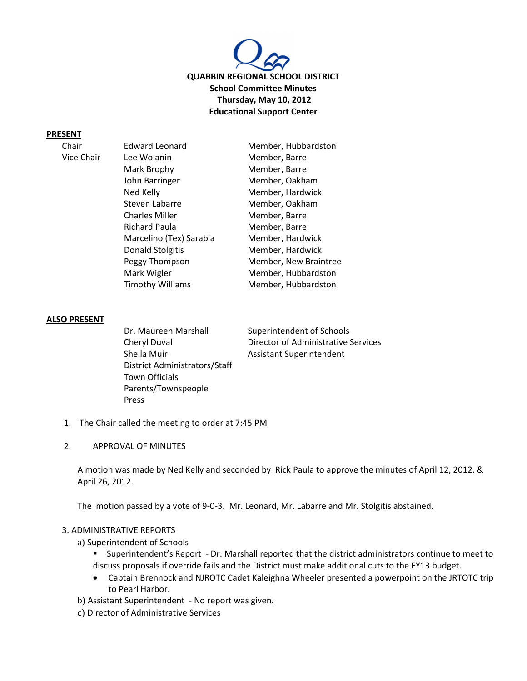

#### **PRESENT**

Vice Chair

| <b>Edward Leonard</b>   | Member, Hubbardston   |
|-------------------------|-----------------------|
| Lee Wolanin             | Member, Barre         |
| Mark Brophy             | Member, Barre         |
| John Barringer          | Member, Oakham        |
| Ned Kelly               | Member, Hardwick      |
| Steven Labarre          | Member, Oakham        |
| <b>Charles Miller</b>   | Member, Barre         |
| Richard Paula           | Member, Barre         |
| Marcelino (Tex) Sarabia | Member, Hardwick      |
| <b>Donald Stolgitis</b> | Member, Hardwick      |
| Peggy Thompson          | Member, New Braintree |
| Mark Wigler             | Member, Hubbardston   |
| <b>Timothy Williams</b> | Member, Hubbardston   |
|                         |                       |

### **ALSO PRESENT**

Dr. Maureen Marshall Superintendent of Schools Sheila Muir **Assistant Superintendent** District Administrators/Staff Town Officials Parents/Townspeople Press

Cheryl Duval Director of Administrative Services

- 1. The Chair called the meeting to order at 7:45 PM
- 2. APPROVAL OF MINUTES

A motion was made by Ned Kelly and seconded by Rick Paula to approve the minutes of April 12, 2012. & April 26, 2012.

The motion passed by a vote of 9-0-3. Mr. Leonard, Mr. Labarre and Mr. Stolgitis abstained.

#### 3. ADMINISTRATIVE REPORTS

- a) Superintendent of Schools
	- Superintendent's Report Dr. Marshall reported that the district administrators continue to meet to discuss proposals if override fails and the District must make additional cuts to the FY13 budget.
	- Captain Brennock and NJROTC Cadet Kaleighna Wheeler presented a powerpoint on the JRTOTC trip to Pearl Harbor.
- b) Assistant Superintendent No report was given.
- c) Director of Administrative Services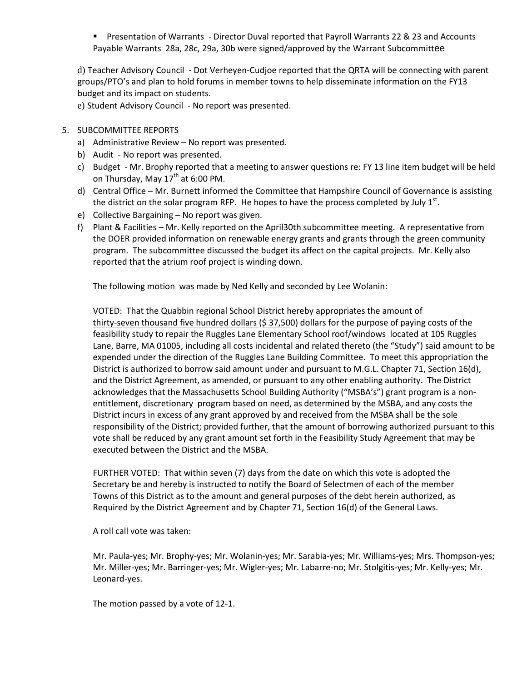**Pherman 1** Presentation of Warrants - Director Duval reported that Payroll Warrants 22 & 23 and Accounts Payable Warrants 28a, 28c, 29a, 30b were signed/approved by the Warrant Subcommittee

d) Teacher Advisory Council - Dot Verheyen-Cudjoe reported that the QRTA will be connecting with parent groups/PTO's and plan to hold forums in member towns to help disseminate information on the FY13 budget and its impact on students.

e) Student Advisory Council - No report was presented.

# 5. SUBCOMMITTEE REPORTS

- a) Administrative Review No report was presented.
- b) Audit No report was presented.
- c) Budget Mr. Brophy reported that a meeting to answer questions re: FY 13 line item budget will be held on Thursday, May  $17^{th}$  at 6:00 PM.
- d) Central Office Mr. Burnett informed the Committee that Hampshire Council of Governance is assisting the district on the solar program RFP. He hopes to have the process completed by July  $1<sup>st</sup>$ .
- e) Collective Bargaining No report was given.
- f) Plant & Facilities Mr. Kelly reported on the April30th subcommittee meeting. A representative from the DOER provided information on renewable energy grants and grants through the green community program. The subcommittee discussed the budget its affect on the capital projects. Mr. Kelly also reported that the atrium roof project is winding down.

The following motion was made by Ned Kelly and seconded by Lee Wolanin:

VOTED: That the Quabbin regional School District hereby appropriates the amount of thirty-seven thousand five hundred dollars (\$ 37,500) dollars for the purpose of paying costs of the feasibility study to repair the Ruggles Lane Elementary School roof/windows located at 105 Ruggles Lane, Barre, MA 01005, including all costs incidental and related thereto (the "Study") said amount to be expended under the direction of the Ruggles Lane Building Committee. To meet this appropriation the District is authorized to borrow said amount under and pursuant to M.G.L. Chapter 71, Section 16(d), and the District Agreement, as amended, or pursuant to any other enabling authority. The District acknowledges that the Massachusetts School Building Authority ("MSBA's") grant program is a nonentitlement, discretionary program based on need, as determined by the MSBA, and any costs the District incurs in excess of any grant approved by and received from the MSBA shall be the sole responsibility of the District; provided further, that the amount of borrowing authorized pursuant to this vote shall be reduced by any grant amount set forth in the Feasibility Study Agreement that may be executed between the District and the MSBA.

FURTHER VOTED: That within seven (7) days from the date on which this vote is adopted the Secretary be and hereby is instructed to notify the Board of Selectmen of each of the member Towns of this District as to the amount and general purposes of the debt herein authorized, as Required by the District Agreement and by Chapter 71, Section 16(d) of the General Laws.

A roll call vote was taken:

Mr. Paula-yes; Mr. Brophy-yes; Mr. Wolanin-yes; Mr. Sarabia-yes; Mr. Williams-yes; Mrs. Thompson-yes; Mr. Miller-yes; Mr. Barringer-yes; Mr. Wigler-yes; Mr. Labarre-no; Mr. Stolgitis-yes; Mr. Kelly-yes; Mr. Leonard-yes.

The motion passed by a vote of 12-1.